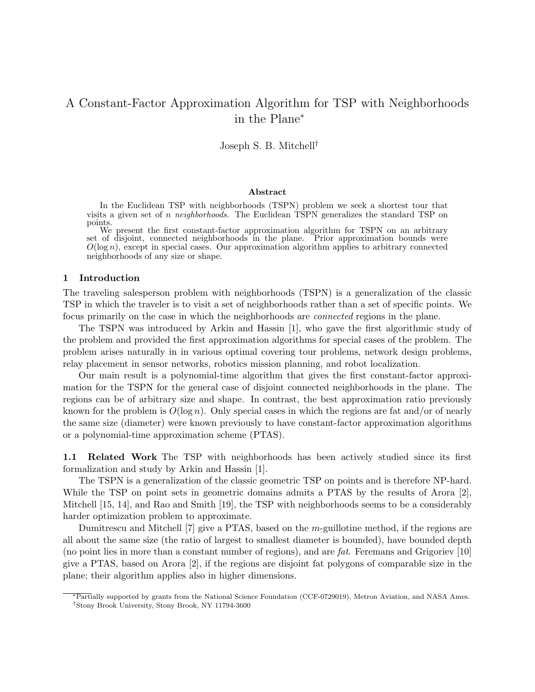# A Constant-Factor Approximation Algorithm for TSP with Neighborhoods in the Plane<sup>∗</sup>

Joseph S. B. Mitchell†

### Abstract

In the Euclidean TSP with neighborhoods (TSPN) problem we seek a shortest tour that visits a given set of n neighborhoods. The Euclidean TSPN generalizes the standard TSP on points.

We present the first constant-factor approximation algorithm for TSPN on an arbitrary set of disjoint, connected neighborhoods in the plane. Prior approximation bounds were  $O(\log n)$ , except in special cases. Our approximation algorithm applies to arbitrary connected neighborhoods of any size or shape.

### 1 Introduction

The traveling salesperson problem with neighborhoods (TSPN) is a generalization of the classic TSP in which the traveler is to visit a set of neighborhoods rather than a set of specific points. We focus primarily on the case in which the neighborhoods are connected regions in the plane.

The TSPN was introduced by Arkin and Hassin [1], who gave the first algorithmic study of the problem and provided the first approximation algorithms for special cases of the problem. The problem arises naturally in in various optimal covering tour problems, network design problems, relay placement in sensor networks, robotics mission planning, and robot localization.

Our main result is a polynomial-time algorithm that gives the first constant-factor approximation for the TSPN for the general case of disjoint connected neighborhoods in the plane. The regions can be of arbitrary size and shape. In contrast, the best approximation ratio previously known for the problem is  $O(\log n)$ . Only special cases in which the regions are fat and/or of nearly the same size (diameter) were known previously to have constant-factor approximation algorithms or a polynomial-time approximation scheme (PTAS).

1.1 Related Work The TSP with neighborhoods has been actively studied since its first formalization and study by Arkin and Hassin [1].

The TSPN is a generalization of the classic geometric TSP on points and is therefore NP-hard. While the TSP on point sets in geometric domains admits a PTAS by the results of Arora [2], Mitchell [15, 14], and Rao and Smith [19], the TSP with neighborhoods seems to be a considerably harder optimization problem to approximate.

Dumitrescu and Mitchell [7] give a PTAS, based on the m-guillotine method, if the regions are all about the same size (the ratio of largest to smallest diameter is bounded), have bounded depth (no point lies in more than a constant number of regions), and are fat. Feremans and Grigoriev [10] give a PTAS, based on Arora [2], if the regions are disjoint fat polygons of comparable size in the plane; their algorithm applies also in higher dimensions.

<sup>∗</sup>Partially supported by grants from the National Science Foundation (CCF-0729019), Metron Aviation, and NASA Ames. †Stony Brook University, Stony Brook, NY 11794-3600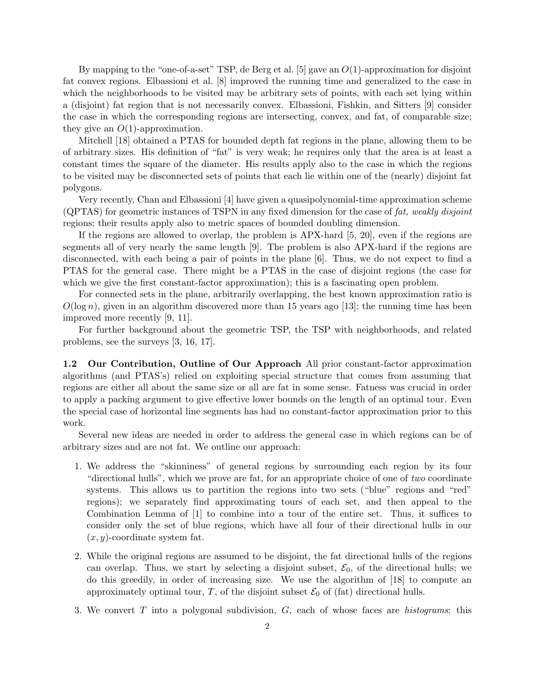By mapping to the "one-of-a-set" TSP, de Berg et al. [5] gave an  $O(1)$ -approximation for disjoint fat convex regions. Elbassioni et al. [8] improved the running time and generalized to the case in which the neighborhoods to be visited may be arbitrary sets of points, with each set lying within a (disjoint) fat region that is not necessarily convex. Elbassioni, Fishkin, and Sitters [9] consider the case in which the corresponding regions are intersecting, convex, and fat, of comparable size; they give an  $O(1)$ -approximation.

Mitchell [18] obtained a PTAS for bounded depth fat regions in the plane, allowing them to be of arbitrary sizes. His definition of "fat" is very weak; he requires only that the area is at least a constant times the square of the diameter. His results apply also to the case in which the regions to be visited may be disconnected sets of points that each lie within one of the (nearly) disjoint fat polygons.

Very recently, Chan and Elbassioni [4] have given a quasipolynomial-time approximation scheme (QPTAS) for geometric instances of TSPN in any fixed dimension for the case of fat, weakly disjoint regions; their results apply also to metric spaces of bounded doubling dimension.

If the regions are allowed to overlap, the problem is APX-hard [5, 20], even if the regions are segments all of very nearly the same length [9]. The problem is also APX-hard if the regions are disconnected, with each being a pair of points in the plane [6]. Thus, we do not expect to find a PTAS for the general case. There might be a PTAS in the case of disjoint regions (the case for which we give the first constant-factor approximation); this is a fascinating open problem.

For connected sets in the plane, arbitrarily overlapping, the best known approximation ratio is  $O(\log n)$ , given in an algorithm discovered more than 15 years ago [13]; the running time has been improved more recently [9, 11].

For further background about the geometric TSP, the TSP with neighborhoods, and related problems, see the surveys [3, 16, 17].

1.2 Our Contribution, Outline of Our Approach All prior constant-factor approximation algorithms (and PTAS's) relied on exploiting special structure that comes from assuming that regions are either all about the same size or all are fat in some sense. Fatness was crucial in order to apply a packing argument to give effective lower bounds on the length of an optimal tour. Even the special case of horizontal line segments has had no constant-factor approximation prior to this work.

Several new ideas are needed in order to address the general case in which regions can be of arbitrary sizes and are not fat. We outline our approach:

- 1. We address the "skinniness" of general regions by surrounding each region by its four "directional hulls", which we prove are fat, for an appropriate choice of one of two coordinate systems. This allows us to partition the regions into two sets ("blue" regions and "red" regions); we separately find approximating tours of each set, and then appeal to the Combination Lemma of [1] to combine into a tour of the entire set. Thus, it suffices to consider only the set of blue regions, which have all four of their directional hulls in our  $(x, y)$ -coordinate system fat.
- 2. While the original regions are assumed to be disjoint, the fat directional hulls of the regions can overlap. Thus, we start by selecting a disjoint subset,  $\mathcal{E}_0$ , of the directional hulls; we do this greedily, in order of increasing size. We use the algorithm of [18] to compute an approximately optimal tour, T, of the disjoint subset  $\mathcal{E}_0$  of (fat) directional hulls.
- 3. We convert T into a polygonal subdivision, G, each of whose faces are histograms; this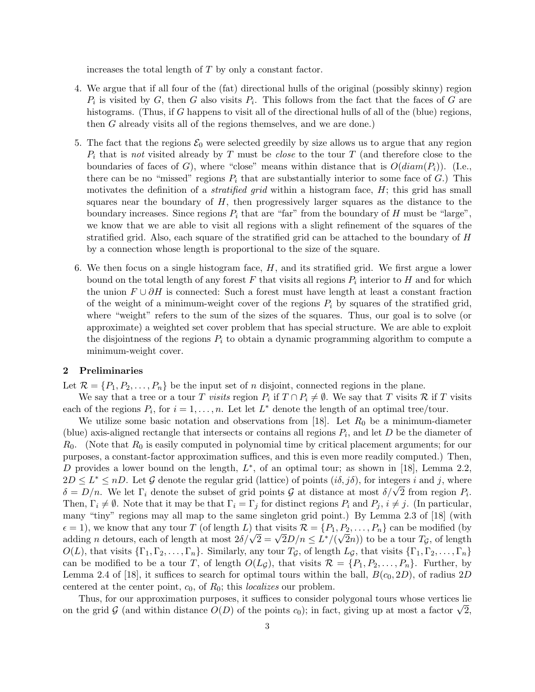increases the total length of T by only a constant factor.

- 4. We argue that if all four of the (fat) directional hulls of the original (possibly skinny) region  $P_i$  is visited by G, then G also visits  $P_i$ . This follows from the fact that the faces of G are histograms. (Thus, if G happens to visit all of the directional hulls of all of the (blue) regions, then G already visits all of the regions themselves, and we are done.)
- 5. The fact that the regions  $\mathcal{E}_0$  were selected greedily by size allows us to argue that any region  $P_i$  that is not visited already by T must be *close* to the tour T (and therefore close to the boundaries of faces of G), where "close" means within distance that is  $O(diam(P_i))$ . (I.e., there can be no "missed" regions  $P_i$  that are substantially interior to some face of G.) This motivates the definition of a *stratified grid* within a histogram face,  $H$ ; this grid has small squares near the boundary of  $H$ , then progressively larger squares as the distance to the boundary increases. Since regions  $P_i$  that are "far" from the boundary of H must be "large", we know that we are able to visit all regions with a slight refinement of the squares of the stratified grid. Also, each square of the stratified grid can be attached to the boundary of H by a connection whose length is proportional to the size of the square.
- 6. We then focus on a single histogram face, H, and its stratified grid. We first argue a lower bound on the total length of any forest  $F$  that visits all regions  $P_i$  interior to  $H$  and for which the union  $F \cup \partial H$  is connected: Such a forest must have length at least a constant fraction of the weight of a minimum-weight cover of the regions  $P_i$  by squares of the stratified grid, where "weight" refers to the sum of the sizes of the squares. Thus, our goal is to solve (or approximate) a weighted set cover problem that has special structure. We are able to exploit the disjointness of the regions  $P_i$  to obtain a dynamic programming algorithm to compute a minimum-weight cover.

### 2 Preliminaries

Let  $\mathcal{R} = \{P_1, P_2, \ldots, P_n\}$  be the input set of *n* disjoint, connected regions in the plane.

We say that a tree or a tour T visits region  $P_i$  if  $T \cap P_i \neq \emptyset$ . We say that T visits R if T visits each of the regions  $P_i$ , for  $i = 1, ..., n$ . Let let  $L^*$  denote the length of an optimal tree/tour.

We utilize some basic notation and observations from [18]. Let  $R_0$  be a minimum-diameter (blue) axis-aligned rectangle that intersects or contains all regions  $P_i$ , and let D be the diameter of  $R_0$ . (Note that  $R_0$  is easily computed in polynomial time by critical placement arguments; for our purposes, a constant-factor approximation suffices, and this is even more readily computed.) Then, D provides a lower bound on the length,  $L^*$ , of an optimal tour; as shown in [18], Lemma 2.2,  $2D \leq L^* \leq nD$ . Let G denote the regular grid (lattice) of points  $(i\delta, j\delta)$ , for integers i and j, where  $\delta = D/n$ . We let  $\Gamma_i$  denote the subset of grid points G at distance at most  $\delta/\sqrt{2}$  from region  $P_i$ . Then,  $\Gamma_i \neq \emptyset$ . Note that it may be that  $\Gamma_i = \Gamma_j$  for distinct regions  $P_i$  and  $P_j$ ,  $i \neq j$ . (In particular, many "tiny" regions may all map to the same singleton grid point.) By Lemma 2.3 of [18] (with  $\epsilon = 1$ ), we know that any tour T (of length L) that visits  $\mathcal{R} = \{P_1, P_2, \ldots, P_n\}$  can be modified (by adding *n* detours, each of length at most  $2\delta/\sqrt{2} = \sqrt{2}D/n \le L^*/(\sqrt{2}n)$  to be a tour  $T_g$ , of length  $O(L)$ , that visits  $\{\Gamma_1, \Gamma_2, \ldots, \Gamma_n\}$ . Similarly, any tour  $T_{\mathcal{G}}$ , of length  $L_{\mathcal{G}}$ , that visits  $\{\Gamma_1, \Gamma_2, \ldots, \Gamma_n\}$ can be modified to be a tour T, of length  $O(L_{\mathcal{G}})$ , that visits  $\mathcal{R} = \{P_1, P_2, \ldots, P_n\}$ . Further, by Lemma 2.4 of [18], it suffices to search for optimal tours within the ball,  $B(c_0, 2D)$ , of radius 2D centered at the center point,  $c_0$ , of  $R_0$ ; this *localizes* our problem.

Thus, for our approximation purposes, it suffices to consider polygonal tours whose vertices lie on the grid G (and within distance  $O(D)$  of the points  $c_0$ ); in fact, giving up at most a factor  $\sqrt{2}$ ,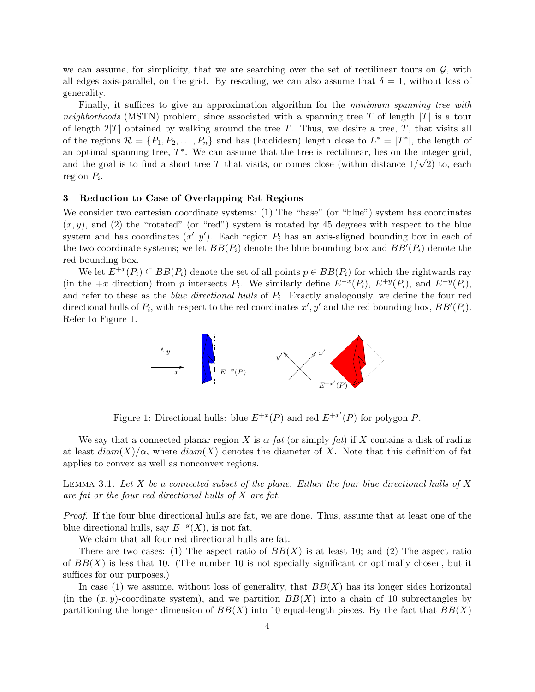we can assume, for simplicity, that we are searching over the set of rectilinear tours on  $\mathcal{G}$ , with all edges axis-parallel, on the grid. By rescaling, we can also assume that  $\delta = 1$ , without loss of generality.

Finally, it suffices to give an approximation algorithm for the *minimum spanning tree with* neighborhoods (MSTN) problem, since associated with a spanning tree T of length  $|T|$  is a tour of length  $2|T|$  obtained by walking around the tree T. Thus, we desire a tree, T, that visits all of the regions  $\mathcal{R} = \{P_1, P_2, \ldots, P_n\}$  and has (Euclidean) length close to  $L^* = |T^*|$ , the length of an optimal spanning tree,  $T^*$ . We can assume that the tree is rectilinear, lies on the integer grid, and the goal is to find a short tree T that visits, or comes close (within distance  $1/\sqrt{2}$ ) to, each region  $P_i$ .

### 3 Reduction to Case of Overlapping Fat Regions

We consider two cartesian coordinate systems: (1) The "base" (or "blue") system has coordinates  $(x, y)$ , and (2) the "rotated" (or "red") system is rotated by 45 degrees with respect to the blue system and has coordinates  $(x', y')$ . Each region  $P_i$  has an axis-aligned bounding box in each of the two coordinate systems; we let  $BB(P_i)$  denote the blue bounding box and  $BB'(P_i)$  denote the red bounding box.

We let  $E^{+x}(P_i) \subseteq BB(P_i)$  denote the set of all points  $p \in BB(P_i)$  for which the rightwards ray (in the +x direction) from p intersects  $P_i$ . We similarly define  $E^{-x}(P_i)$ ,  $E^{+y}(P_i)$ , and  $E^{-y}(P_i)$ , and refer to these as the *blue directional hulls* of  $P_i$ . Exactly analogously, we define the four red directional hulls of  $P_i$ , with respect to the red coordinates  $x', y'$  and the red bounding box,  $BB'(P_i)$ . Refer to Figure 1.



Figure 1: Directional hulls: blue  $E^{+x}(P)$  and red  $E^{+x'}(P)$  for polygon P.

We say that a connected planar region X is  $\alpha$ -fat (or simply fat) if X contains a disk of radius at least  $diam(X)/\alpha$ , where  $diam(X)$  denotes the diameter of X. Note that this definition of fat applies to convex as well as nonconvex regions.

LEMMA 3.1. Let X be a connected subset of the plane. Either the four blue directional hulls of X are fat or the four red directional hulls of X are fat.

Proof. If the four blue directional hulls are fat, we are done. Thus, assume that at least one of the blue directional hulls, say  $E^{-y}(X)$ , is not fat.

We claim that all four red directional hulls are fat.

There are two cases: (1) The aspect ratio of  $BB(X)$  is at least 10; and (2) The aspect ratio of  $BB(X)$  is less that 10. (The number 10 is not specially significant or optimally chosen, but it suffices for our purposes.)

In case (1) we assume, without loss of generality, that  $BB(X)$  has its longer sides horizontal (in the  $(x, y)$ -coordinate system), and we partition  $BB(X)$  into a chain of 10 subrectangles by partitioning the longer dimension of  $BB(X)$  into 10 equal-length pieces. By the fact that  $BB(X)$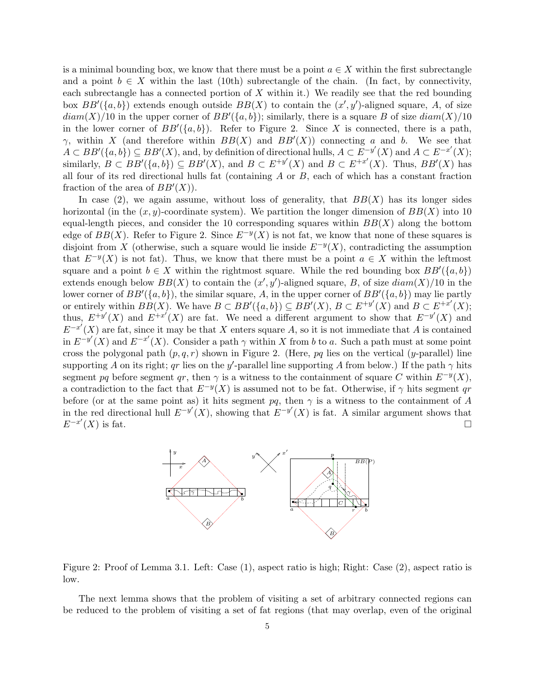is a minimal bounding box, we know that there must be a point  $a \in X$  within the first subrectangle and a point  $b \in X$  within the last (10th) subrectangle of the chain. (In fact, by connectivity, each subrectangle has a connected portion of  $X$  within it.) We readily see that the red bounding box  $BB'(\lbrace a,b \rbrace)$  extends enough outside  $BB(X)$  to contain the  $(x', y')$ -aligned square, A, of size  $diam(X)/10$  in the upper corner of  $BB'(\lbrace a,b \rbrace)$ ; similarly, there is a square B of size  $diam(X)/10$ in the lower corner of  $BB'(\lbrace a,b \rbrace)$ . Refer to Figure 2. Since X is connected, there is a path,  $\gamma$ , within X (and therefore within  $BB(X)$  and  $BB'(X)$ ) connecting a and b. We see that  $A \subset BB'(\{a,b\}) \subseteq BB'(X)$ , and, by definition of directional hulls,  $A \subset E^{-y'}(X)$  and  $A \subset E^{-x'}(X)$ ; similarly,  $B \subset BB'(\{a, b\}) \subseteq BB'(X)$ , and  $B \subset E^{+y'}(X)$  and  $B \subset E^{+x'}(X)$ . Thus,  $BB'(X)$  has all four of its red directional hulls fat (containing  $A$  or  $B$ , each of which has a constant fraction fraction of the area of  $BB'(X)$ .

In case (2), we again assume, without loss of generality, that  $BB(X)$  has its longer sides horizontal (in the  $(x, y)$ -coordinate system). We partition the longer dimension of  $BB(X)$  into 10 equal-length pieces, and consider the 10 corresponding squares within  $BB(X)$  along the bottom edge of  $BB(X)$ . Refer to Figure 2. Since  $E^{-y}(X)$  is not fat, we know that none of these squares is disjoint from X (otherwise, such a square would lie inside  $E^{-y}(X)$ , contradicting the assumption that  $E^{-y}(X)$  is not fat). Thus, we know that there must be a point  $a \in X$  within the leftmost square and a point  $b \in X$  within the rightmost square. While the red bounding box  $BB'(\lbrace a,b \rbrace)$ extends enough below  $BB(X)$  to contain the  $(x', y')$ -aligned square, B, of size  $diam(X)/10$  in the lower corner of  $BB'(\{a, b\})$ , the similar square, A, in the upper corner of  $BB'(\{a, b\})$  may lie partly or entirely within  $BB(X)$ . We have  $B \subset BB'(\{a, b\}) \subseteq BB'(X)$ ,  $B \subset E^{+y'}(X)$  and  $B \subset E^{+x'}(X)$ ; thus,  $E^{+y'}(X)$  and  $E^{+x'}(X)$  are fat. We need a different argument to show that  $E^{-y'}(X)$  and  $E^{-x'}(X)$  are fat, since it may be that X enters square A, so it is not immediate that A is contained in  $E^{-y'}(X)$  and  $E^{-x'}(X)$ . Consider a path  $\gamma$  within X from b to a. Such a path must at some point cross the polygonal path  $(p, q, r)$  shown in Figure 2. (Here, pq lies on the vertical (y-parallel) line supporting A on its right; qr lies on the y'-parallel line supporting A from below.) If the path  $\gamma$  hits segment pq before segment qr, then  $\gamma$  is a witness to the containment of square C within  $E^{-y}(X)$ , a contradiction to the fact that  $E^{-y}(X)$  is assumed not to be fat. Otherwise, if  $\gamma$  hits segment qr before (or at the same point as) it hits segment pq, then  $\gamma$  is a witness to the containment of A in the red directional hull  $E^{-y'}(X)$ , showing that  $E^{-y'}(X)$  is fat. A similar argument shows that  $E^{-x'}(X)$  is fat.



Figure 2: Proof of Lemma 3.1. Left: Case (1), aspect ratio is high; Right: Case (2), aspect ratio is low.

The next lemma shows that the problem of visiting a set of arbitrary connected regions can be reduced to the problem of visiting a set of fat regions (that may overlap, even of the original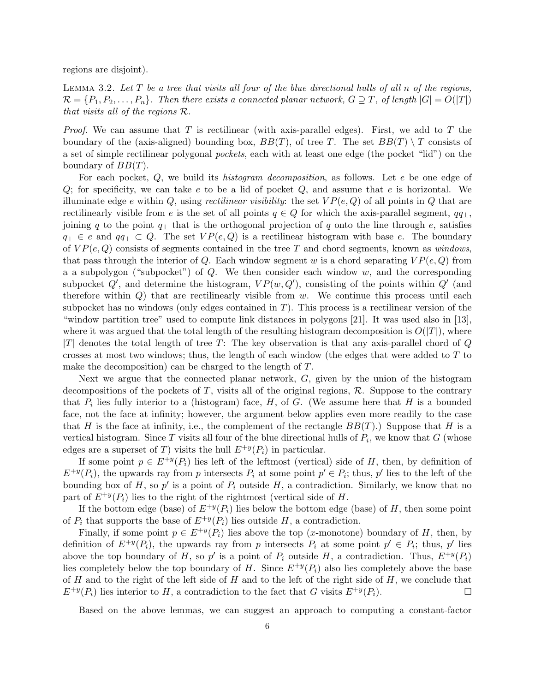regions are disjoint).

LEMMA 3.2. Let  $T$  be a tree that visits all four of the blue directional hulls of all  $n$  of the regions,  $\mathcal{R} = \{P_1, P_2, \ldots, P_n\}$ . Then there exists a connected planar network,  $G \supseteq T$ , of length  $|G| = O(|T|)$ that visits all of the regions R.

*Proof.* We can assume that T is rectilinear (with axis-parallel edges). First, we add to T the boundary of the (axis-aligned) bounding box,  $BB(T)$ , of tree T. The set  $BB(T) \setminus T$  consists of a set of simple rectilinear polygonal pockets, each with at least one edge (the pocket "lid") on the boundary of  $BB(T)$ .

For each pocket, Q, we build its *histogram decomposition*, as follows. Let e be one edge of  $Q$ ; for specificity, we can take e to be a lid of pocket  $Q$ , and assume that e is horizontal. We illuminate edge e within Q, using rectilinear visibility: the set  $VP(e, Q)$  of all points in Q that are rectilinearly visible from e is the set of all points  $q \in Q$  for which the axis-parallel segment,  $qq_{\perp}$ , joining q to the point  $q_{\perp}$  that is the orthogonal projection of q onto the line through e, satisfies  $q_{\perp} \in e$  and  $qq_{\perp} \subset Q$ . The set  $VP(e, Q)$  is a rectilinear histogram with base e. The boundary of  $VP(e, Q)$  consists of segments contained in the tree T and chord segments, known as windows, that pass through the interior of Q. Each window segment w is a chord separating  $VP(e, Q)$  from a a subpolygon ("subpocket") of  $Q$ . We then consider each window  $w$ , and the corresponding subpocket  $Q'$ , and determine the histogram,  $VP(w, Q')$ , consisting of the points within  $Q'$  (and therefore within  $Q$ ) that are rectilinearly visible from  $w$ . We continue this process until each subpocket has no windows (only edges contained in  $T$ ). This process is a rectilinear version of the "window partition tree" used to compute link distances in polygons [21]. It was used also in [13], where it was argued that the total length of the resulting histogram decomposition is  $O(|T|)$ , where |T| denotes the total length of tree T: The key observation is that any axis-parallel chord of  $Q$ crosses at most two windows; thus, the length of each window (the edges that were added to  $T$  to make the decomposition) can be charged to the length of T.

Next we argue that the connected planar network,  $G$ , given by the union of the histogram decompositions of the pockets of  $T$ , visits all of the original regions,  $\mathcal{R}$ . Suppose to the contrary that  $P_i$  lies fully interior to a (histogram) face,  $H$ , of  $G$ . (We assume here that  $H$  is a bounded face, not the face at infinity; however, the argument below applies even more readily to the case that H is the face at infinity, i.e., the complement of the rectangle  $BB(T)$ .) Suppose that H is a vertical histogram. Since T visits all four of the blue directional hulls of  $P_i$ , we know that G (whose edges are a superset of T) visits the hull  $E^{+\nu}(P_i)$  in particular.

If some point  $p \in E^{+y}(P_i)$  lies left of the leftmost (vertical) side of H, then, by definition of  $E^{+y}(P_i)$ , the upwards ray from p intersects  $P_i$  at some point  $p' \in P_i$ ; thus, p' lies to the left of the bounding box of H, so  $p'$  is a point of  $P_i$  outside H, a contradiction. Similarly, we know that no part of  $E^{+y}(P_i)$  lies to the right of the rightmost (vertical side of H.

If the bottom edge (base) of  $E^{+y}(P_i)$  lies below the bottom edge (base) of H, then some point of  $P_i$  that supports the base of  $E^{+y}(P_i)$  lies outside H, a contradiction.

Finally, if some point  $p \in E^{+y}(P_i)$  lies above the top (x-monotone) boundary of H, then, by definition of  $E^{+y}(P_i)$ , the upwards ray from p intersects  $P_i$  at some point  $p' \in P_i$ ; thus, p' lies above the top boundary of H, so p' is a point of  $P_i$  outside H, a contradiction. Thus,  $E^{+y}(P_i)$ lies completely below the top boundary of H. Since  $E^{+y}(P_i)$  also lies completely above the base of H and to the right of the left side of H and to the left of the right side of  $H$ , we conclude that  $E^{+y}(P_i)$  lies interior to H, a contradiction to the fact that G visits  $E^{+y}(P_i)$ .

Based on the above lemmas, we can suggest an approach to computing a constant-factor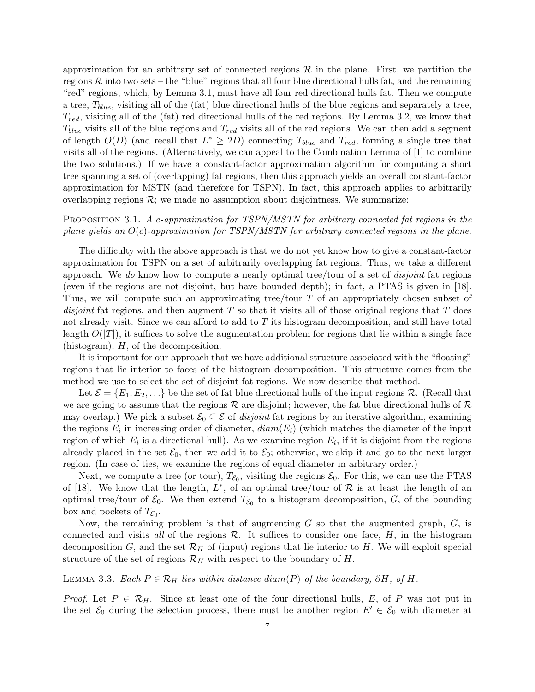approximation for an arbitrary set of connected regions  $\mathcal R$  in the plane. First, we partition the regions  $R$  into two sets – the "blue" regions that all four blue directional hulls fat, and the remaining "red" regions, which, by Lemma 3.1, must have all four red directional hulls fat. Then we compute a tree,  $T_{blue}$ , visiting all of the (fat) blue directional hulls of the blue regions and separately a tree,  $T_{red}$ , visiting all of the (fat) red directional hulls of the red regions. By Lemma 3.2, we know that  $T_{blue}$  visits all of the blue regions and  $T_{red}$  visits all of the red regions. We can then add a segment of length  $O(D)$  (and recall that  $L^* \geq 2D$ ) connecting  $T_{blue}$  and  $T_{red}$ , forming a single tree that visits all of the regions. (Alternatively, we can appeal to the Combination Lemma of [1] to combine the two solutions.) If we have a constant-factor approximation algorithm for computing a short tree spanning a set of (overlapping) fat regions, then this approach yields an overall constant-factor approximation for MSTN (and therefore for TSPN). In fact, this approach applies to arbitrarily overlapping regions  $\mathcal{R}$ ; we made no assumption about disjointness. We summarize:

## PROPOSITION 3.1. A c-approximation for TSPN/MSTN for arbitrary connected fat regions in the plane yields an  $O(c)$ -approximation for TSPN/MSTN for arbitrary connected regions in the plane.

The difficulty with the above approach is that we do not yet know how to give a constant-factor approximation for TSPN on a set of arbitrarily overlapping fat regions. Thus, we take a different approach. We do know how to compute a nearly optimal tree/tour of a set of disjoint fat regions (even if the regions are not disjoint, but have bounded depth); in fact, a PTAS is given in [18]. Thus, we will compute such an approximating tree/tour T of an appropriately chosen subset of disjoint fat regions, and then augment  $T$  so that it visits all of those original regions that  $T$  does not already visit. Since we can afford to add to  $T$  its histogram decomposition, and still have total length  $O(|T|)$ , it suffices to solve the augmentation problem for regions that lie within a single face (histogram), H, of the decomposition.

It is important for our approach that we have additional structure associated with the "floating" regions that lie interior to faces of the histogram decomposition. This structure comes from the method we use to select the set of disjoint fat regions. We now describe that method.

Let  $\mathcal{E} = \{E_1, E_2, \ldots\}$  be the set of fat blue directional hulls of the input regions R. (Recall that we are going to assume that the regions  $\mathcal R$  are disjoint; however, the fat blue directional hulls of  $\mathcal R$ may overlap.) We pick a subset  $\mathcal{E}_0 \subseteq \mathcal{E}$  of *disjoint* fat regions by an iterative algorithm, examining the regions  $E_i$  in increasing order of diameter,  $diam(E_i)$  (which matches the diameter of the input region of which  $E_i$  is a directional hull). As we examine region  $E_i$ , if it is disjoint from the regions already placed in the set  $\mathcal{E}_0$ , then we add it to  $\mathcal{E}_0$ ; otherwise, we skip it and go to the next larger region. (In case of ties, we examine the regions of equal diameter in arbitrary order.)

Next, we compute a tree (or tour),  $T_{\mathcal{E}_0}$ , visiting the regions  $\mathcal{E}_0$ . For this, we can use the PTAS of [18]. We know that the length,  $L^*$ , of an optimal tree/tour of  $R$  is at least the length of an optimal tree/tour of  $\mathcal{E}_0$ . We then extend  $T_{\mathcal{E}_0}$  to a histogram decomposition,  $G$ , of the bounding box and pockets of  $T_{\mathcal{E}_0}$ .

Now, the remaining problem is that of augmenting G so that the augmented graph,  $\overline{G}$ , is connected and visits all of the regions  $\mathcal{R}$ . It suffices to consider one face,  $H$ , in the histogram decomposition G, and the set  $\mathcal{R}_H$  of (input) regions that lie interior to H. We will exploit special structure of the set of regions  $\mathcal{R}_H$  with respect to the boundary of H.

LEMMA 3.3. Each  $P \in \mathcal{R}_H$  lies within distance diam(P) of the boundary, ∂H, of H.

Proof. Let  $P \in \mathcal{R}_H$ . Since at least one of the four directional hulls, E, of P was not put in the set  $\mathcal{E}_0$  during the selection process, there must be another region  $E' \in \mathcal{E}_0$  with diameter at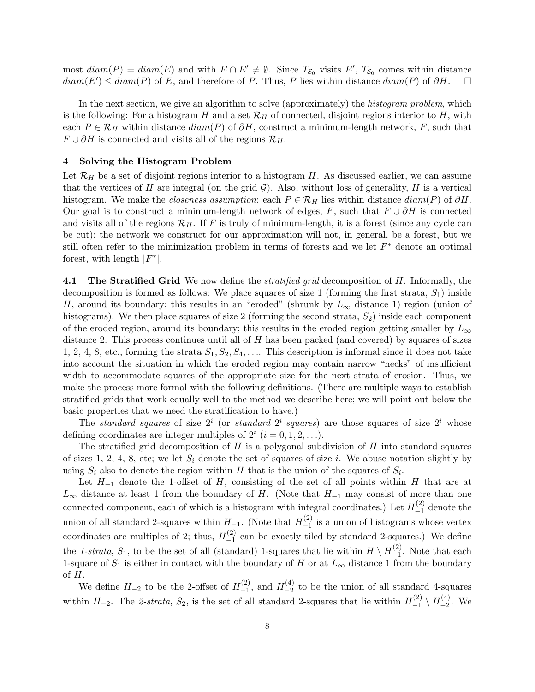most  $diam(P) = diam(E)$  and with  $E \cap E' \neq \emptyset$ . Since  $T_{\mathcal{E}_0}$  visits  $E'$ ,  $T_{\mathcal{E}_0}$  comes within distance  $diam(E') \leq diam(P)$  of E, and therefore of P. Thus, P lies within distance  $diam(P)$  of  $\partial H$ .  $\Box$ 

In the next section, we give an algorithm to solve (approximately) the *histogram problem*, which is the following: For a histogram H and a set  $\mathcal{R}_H$  of connected, disjoint regions interior to H, with each  $P \in \mathcal{R}_H$  within distance  $diam(P)$  of  $\partial H$ , construct a minimum-length network, F, such that  $F \cup \partial H$  is connected and visits all of the regions  $\mathcal{R}_H$ .

### 4 Solving the Histogram Problem

Let  $\mathcal{R}_H$  be a set of disjoint regions interior to a histogram H. As discussed earlier, we can assume that the vertices of H are integral (on the grid  $\mathcal{G}$ ). Also, without loss of generality, H is a vertical histogram. We make the *closeness assumption*: each  $P \in \mathcal{R}_H$  lies within distance  $diam(P)$  of  $\partial H$ . Our goal is to construct a minimum-length network of edges, F, such that  $F \cup \partial H$  is connected and visits all of the regions  $\mathcal{R}_H$ . If F is truly of minimum-length, it is a forest (since any cycle can be cut); the network we construct for our approximation will not, in general, be a forest, but we still often refer to the minimization problem in terms of forests and we let  $F^*$  denote an optimal forest, with length  $|F^*|$ .

4.1 The Stratified Grid We now define the *stratified grid* decomposition of H. Informally, the decomposition is formed as follows: We place squares of size 1 (forming the first strata,  $S_1$ ) inside H, around its boundary; this results in an "eroded" (shrunk by  $L_{\infty}$  distance 1) region (union of histograms). We then place squares of size 2 (forming the second strata,  $S_2$ ) inside each component of the eroded region, around its boundary; this results in the eroded region getting smaller by  $L_{\infty}$ distance 2. This process continues until all of  $H$  has been packed (and covered) by squares of sizes 1, 2, 4, 8, etc., forming the strata  $S_1, S_2, S_4, \ldots$  This description is informal since it does not take into account the situation in which the eroded region may contain narrow "necks" of insufficient width to accommodate squares of the appropriate size for the next strata of erosion. Thus, we make the process more formal with the following definitions. (There are multiple ways to establish stratified grids that work equally well to the method we describe here; we will point out below the basic properties that we need the stratification to have.)

The *standard squares* of size  $2^i$  (or *standard*  $2^i$ -squares) are those squares of size  $2^i$  whose defining coordinates are integer multiples of  $2^i$   $(i = 0, 1, 2, \ldots)$ .

The stratified grid decomposition of  $H$  is a polygonal subdivision of  $H$  into standard squares of sizes 1, 2, 4, 8, etc; we let  $S_i$  denote the set of squares of size i. We abuse notation slightly by using  $S_i$  also to denote the region within H that is the union of the squares of  $S_i$ .

Let  $H_{-1}$  denote the 1-offset of H, consisting of the set of all points within H that are at  $L_{\infty}$  distance at least 1 from the boundary of H. (Note that  $H_{-1}$  may consist of more than one connected component, each of which is a histogram with integral coordinates.) Let  $H_{-1}^{(2)}$  $\binom{2}{-1}$  denote the union of all standard 2-squares within  $H_{-1}$ . (Note that  $H_{-1}^{(2)}$ )  $\frac{1}{2}$  is a union of histograms whose vertex coordinates are multiples of 2; thus,  $H_{-1}^{(2)}$  $\binom{1}{-1}$  can be exactly tiled by standard 2-squares.) We define the 1-strata,  $S_1$ , to be the set of all (standard) 1-squares that lie within  $H \setminus H_{-1}^{(2)}$  $\binom{1}{-1}$ . Note that each 1-square of  $S_1$  is either in contact with the boundary of H or at  $L_{\infty}$  distance 1 from the boundary of H.

We define  $H_{-2}$  to be the 2-offset of  $H_{-1}^{(2)}$  $\frac{-(2)}{-1}$ , and  $H_{-2}^{(4)}$  $\frac{1}{2}$  to be the union of all standard 4-squares within  $H_{-2}$ . The 2-strata,  $S_2$ , is the set of all standard 2-squares that lie within  $H_{-1}^{(2)}$  $\stackrel{(2)}{-1} \setminus H_{-2}^{(4)}$  $_{-2}^{(4)}$ . We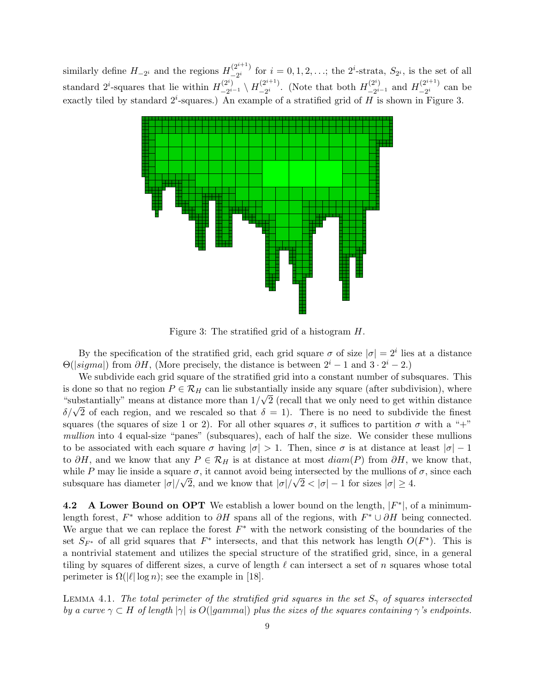similarly define  $H_{-2i}$  and the regions  $H_{-2i}^{(2^{i+1})}$  $\sum_{i=2}^{(2^{i+1})}$  for  $i = 0, 1, 2, \ldots$ ; the  $2^i$ -strata,  $S_{2^i}$ , is the set of all standard 2<sup>*i*</sup>-squares that lie within  $H_{-2i}^{(2^i)}$  $\stackrel{(2^i)}{-2^{i-1}} \setminus H_{-2^i}^{(2^{i+1})}$  $\frac{1}{2}^{(2^{i+1})}$ . (Note that both  $H_{-2^{i}}^{(2^{i})}$  $\frac{-(2^i)}{-2^{i-1}}$  and  $H_{-2^i}^{(2^{i+1})}$  $\frac{1}{2}$  can be exactly tiled by standard  $2^i$ -squares.) An example of a stratified grid of H is shown in Figure 3.



Figure 3: The stratified grid of a histogram H.

By the specification of the stratified grid, each grid square  $\sigma$  of size  $|\sigma| = 2^i$  lies at a distance  $\Theta(|sigma|)$  from  $\partial H$ , (More precisely, the distance is between  $2^{i} - 1$  and  $3 \cdot 2^{i} - 2$ .)

We subdivide each grid square of the stratified grid into a constant number of subsquares. This is done so that no region  $P \in \mathcal{R}_H$  can lie substantially inside any square (after subdivision), where "substantially" means at distance more than  $1/\sqrt{2}$  (recall that we only need to get within distance  $\delta/\sqrt{2}$  of each region, and we rescaled so that  $\delta = 1$ ). There is no need to subdivide the finest squares (the squares of size 1 or 2). For all other squares  $\sigma$ , it suffices to partition  $\sigma$  with a "+" mullion into 4 equal-size "panes" (subsquares), each of half the size. We consider these mullions to be associated with each square  $\sigma$  having  $|\sigma| > 1$ . Then, since  $\sigma$  is at distance at least  $|\sigma| - 1$ to ∂H, and we know that any  $P \in \mathcal{R}_H$  is at distance at most  $diam(P)$  from  $\partial H$ , we know that, while P may lie inside a square  $\sigma$ , it cannot avoid being intersected by the mullions of  $\sigma$ , since each subsquare has diameter  $|\sigma|/\sqrt{2}$ , and we know that  $|\sigma|/\sqrt{2} < |\sigma| - 1$  for sizes  $|\sigma| \ge 4$ .

**4.2** A Lower Bound on OPT We establish a lower bound on the length,  $|F^*|$ , of a minimumlength forest,  $F^*$  whose addition to  $\partial H$  spans all of the regions, with  $F^* \cup \partial H$  being connected. We argue that we can replace the forest  $F^*$  with the network consisting of the boundaries of the set  $S_{F^*}$  of all grid squares that  $F^*$  intersects, and that this network has length  $O(F^*)$ . This is a nontrivial statement and utilizes the special structure of the stratified grid, since, in a general tiling by squares of different sizes, a curve of length  $\ell$  can intersect a set of n squares whose total perimeter is  $\Omega(|\ell| \log n)$ ; see the example in [18].

LEMMA 4.1. The total perimeter of the stratified grid squares in the set  $S_{\gamma}$  of squares intersected by a curve  $\gamma \subset H$  of length  $|\gamma|$  is  $O(|gamma|)$  plus the sizes of the squares containing  $\gamma$ 's endpoints.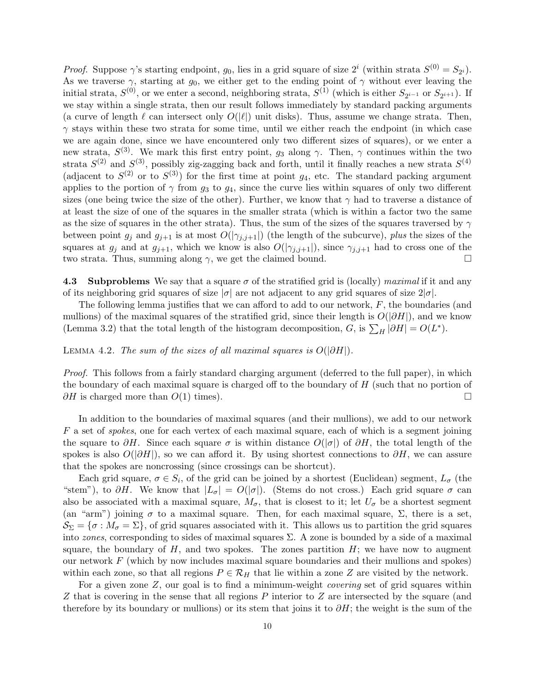*Proof.* Suppose  $\gamma$ 's starting endpoint,  $g_0$ , lies in a grid square of size  $2^i$  (within strata  $S^{(0)} = S_{2^i}$ ). As we traverse  $\gamma$ , starting at  $g_0$ , we either get to the ending point of  $\gamma$  without ever leaving the initial strata,  $S^{(0)}$ , or we enter a second, neighboring strata,  $S^{(1)}$  (which is either  $S_{2^{i-1}}$  or  $S_{2^{i+1}}$ ). If we stay within a single strata, then our result follows immediately by standard packing arguments (a curve of length  $\ell$  can intersect only  $O(|\ell|)$  unit disks). Thus, assume we change strata. Then,  $\gamma$  stays within these two strata for some time, until we either reach the endpoint (in which case we are again done, since we have encountered only two different sizes of squares), or we enter a new strata,  $S^{(3)}$ . We mark this first entry point,  $g_3$  along  $\gamma$ . Then,  $\gamma$  continues within the two strata  $S^{(2)}$  and  $S^{(3)}$ , possibly zig-zagging back and forth, until it finally reaches a new strata  $S^{(4)}$ (adjacent to  $S^{(2)}$  or to  $S^{(3)}$ ) for the first time at point  $g_4$ , etc. The standard packing argument applies to the portion of  $\gamma$  from  $g_3$  to  $g_4$ , since the curve lies within squares of only two different sizes (one being twice the size of the other). Further, we know that  $\gamma$  had to traverse a distance of at least the size of one of the squares in the smaller strata (which is within a factor two the same as the size of squares in the other strata). Thus, the sum of the sizes of the squares traversed by  $\gamma$ between point  $g_j$  and  $g_{j+1}$  is at most  $O(|\gamma_{j,j+1}|)$  (the length of the subcurve), plus the sizes of the squares at  $g_j$  and at  $g_{j+1}$ , which we know is also  $O(|\gamma_{j,j+1}|)$ , since  $\gamma_{j,j+1}$  had to cross one of the two strata. Thus, summing along  $\gamma$ , we get the claimed bound. two strata. Thus, summing along  $\gamma$ , we get the claimed bound.

**4.3** Subproblems We say that a square  $\sigma$  of the stratified grid is (locally) maximal if it and any of its neighboring grid squares of size  $|\sigma|$  are not adjacent to any grid squares of size  $2|\sigma|$ .

The following lemma justifies that we can afford to add to our network, F, the boundaries (and mullions) of the maximal squares of the stratified grid, since their length is  $O(|\partial H|)$ , and we know (Lemma 3.2) that the total length of the histogram decomposition, G, is  $\sum_H |\partial H| = O(L^*)$ .

LEMMA 4.2. The sum of the sizes of all maximal squares is  $O(|\partial H|)$ .

Proof. This follows from a fairly standard charging argument (deferred to the full paper), in which the boundary of each maximal square is charged off to the boundary of  $H$  (such that no portion of  $\partial H$  is charged more than  $O(1)$  times).

In addition to the boundaries of maximal squares (and their mullions), we add to our network F a set of spokes, one for each vertex of each maximal square, each of which is a segment joining the square to  $\partial H$ . Since each square  $\sigma$  is within distance  $O(|\sigma|)$  of  $\partial H$ , the total length of the spokes is also  $O(|\partial H|)$ , so we can afford it. By using shortest connections to  $\partial H$ , we can assure that the spokes are noncrossing (since crossings can be shortcut).

Each grid square,  $\sigma \in S_i$ , of the grid can be joined by a shortest (Euclidean) segment,  $L_{\sigma}$  (the "stem"), to  $\partial H$ . We know that  $|L_{\sigma}| = O(|\sigma|)$ . (Stems do not cross.) Each grid square  $\sigma$  can also be associated with a maximal square,  $M_{\sigma}$ , that is closest to it; let  $U_{\sigma}$  be a shortest segment (an "arm") joining  $\sigma$  to a maximal square. Then, for each maximal square,  $\Sigma$ , there is a set,  $\mathcal{S}_{\Sigma} = \{\sigma : M_{\sigma} = \Sigma\},\$  of grid squares associated with it. This allows us to partition the grid squares into *zones*, corresponding to sides of maximal squares  $\Sigma$ . A zone is bounded by a side of a maximal square, the boundary of  $H$ , and two spokes. The zones partition  $H$ ; we have now to augment our network  $F$  (which by now includes maximal square boundaries and their mullions and spokes) within each zone, so that all regions  $P \in \mathcal{R}_H$  that lie within a zone Z are visited by the network.

For a given zone  $Z$ , our goal is to find a minimum-weight *covering* set of grid squares within Z that is covering in the sense that all regions P interior to Z are intersected by the square (and therefore by its boundary or mullions) or its stem that joins it to  $\partial H$ ; the weight is the sum of the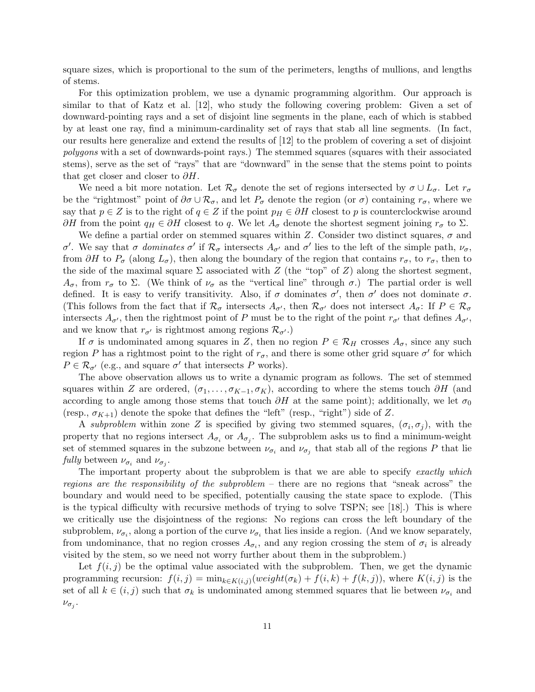square sizes, which is proportional to the sum of the perimeters, lengths of mullions, and lengths of stems.

For this optimization problem, we use a dynamic programming algorithm. Our approach is similar to that of Katz et al. [12], who study the following covering problem: Given a set of downward-pointing rays and a set of disjoint line segments in the plane, each of which is stabbed by at least one ray, find a minimum-cardinality set of rays that stab all line segments. (In fact, our results here generalize and extend the results of [12] to the problem of covering a set of disjoint polygons with a set of downwards-point rays.) The stemmed squares (squares with their associated stems), serve as the set of "rays" that are "downward" in the sense that the stems point to points that get closer and closer to  $\partial H$ .

We need a bit more notation. Let  $\mathcal{R}_{\sigma}$  denote the set of regions intersected by  $\sigma \cup L_{\sigma}$ . Let  $r_{\sigma}$ be the "rightmost" point of  $\partial \sigma \cup \mathcal{R}_{\sigma}$ , and let  $P_{\sigma}$  denote the region (or  $\sigma$ ) containing  $r_{\sigma}$ , where we say that  $p \in Z$  is to the right of  $q \in Z$  if the point  $p_H \in \partial H$  closest to p is counterclockwise around  $\partial H$  from the point  $q_H \in \partial H$  closest to q. We let  $A_{\sigma}$  denote the shortest segment joining  $r_{\sigma}$  to  $\Sigma$ .

We define a partial order on stemmed squares within Z. Consider two distinct squares,  $\sigma$  and σ'. We say that σ dominates σ' if  $\mathcal{R}_{\sigma}$  intersects  $A_{\sigma'}$  and σ' lies to the left of the simple path,  $\nu_{\sigma}$ , from  $\partial H$  to  $P_{\sigma}$  (along  $L_{\sigma}$ ), then along the boundary of the region that contains  $r_{\sigma}$ , to  $r_{\sigma}$ , then to the side of the maximal square  $\Sigma$  associated with Z (the "top" of Z) along the shortest segment,  $A_{\sigma}$ , from  $r_{\sigma}$  to  $\Sigma$ . (We think of  $\nu_{\sigma}$  as the "vertical line" through  $\sigma$ .) The partial order is well defined. It is easy to verify transitivity. Also, if  $\sigma$  dominates  $\sigma'$ , then  $\sigma'$  does not dominate  $\sigma$ . (This follows from the fact that if  $\mathcal{R}_{\sigma}$  intersects  $A_{\sigma'}$ , then  $\mathcal{R}_{\sigma'}$  does not intersect  $A_{\sigma}$ : If  $P \in \mathcal{R}_{\sigma}$ intersects  $A_{\sigma'}$ , then the rightmost point of P must be to the right of the point  $r_{\sigma'}$  that defines  $A_{\sigma'}$ , and we know that  $r_{\sigma'}$  is rightmost among regions  $\mathcal{R}_{\sigma'}$ .)

If  $\sigma$  is undominated among squares in Z, then no region  $P \in \mathcal{R}_H$  crosses  $A_{\sigma}$ , since any such region P has a rightmost point to the right of  $r_{\sigma}$ , and there is some other grid square  $\sigma'$  for which  $P \in \mathcal{R}_{\sigma'}$  (e.g., and square  $\sigma'$  that intersects P works).

The above observation allows us to write a dynamic program as follows. The set of stemmed squares within Z are ordered,  $(\sigma_1, \ldots, \sigma_{K-1}, \sigma_K)$ , according to where the stems touch  $\partial H$  (and according to angle among those stems that touch  $\partial H$  at the same point); additionally, we let  $\sigma_0$ (resp.,  $\sigma_{K+1}$ ) denote the spoke that defines the "left" (resp., "right") side of Z.

A subproblem within zone Z is specified by giving two stemmed squares,  $(\sigma_i, \sigma_j)$ , with the property that no regions intersect  $A_{\sigma_i}$  or  $A_{\sigma_j}$ . The subproblem asks us to find a minimum-weight set of stemmed squares in the subzone between  $\nu_{\sigma_i}$  and  $\nu_{\sigma_j}$  that stab all of the regions P that lie fully between  $\nu_{\sigma_i}$  and  $\nu_{\sigma_j}$ .

The important property about the subproblem is that we are able to specify exactly which regions are the responsibility of the subproblem – there are no regions that "sneak across" the boundary and would need to be specified, potentially causing the state space to explode. (This is the typical difficulty with recursive methods of trying to solve TSPN; see [18].) This is where we critically use the disjointness of the regions: No regions can cross the left boundary of the subproblem,  $\nu_{\sigma_i}$ , along a portion of the curve  $\nu_{\sigma_i}$  that lies inside a region. (And we know separately, from undominance, that no region crosses  $A_{\sigma_i}$ , and any region crossing the stem of  $\sigma_i$  is already visited by the stem, so we need not worry further about them in the subproblem.)

Let  $f(i, j)$  be the optimal value associated with the subproblem. Then, we get the dynamic programming recursion:  $f(i, j) = \min_{k \in K(i,j)} (weight(\sigma_k) + f(i, k) + f(k, j))$ , where  $K(i, j)$  is the set of all  $k \in (i, j)$  such that  $\sigma_k$  is undominated among stemmed squares that lie between  $\nu_{\sigma_i}$  and  $\nu_{\sigma_j}$ .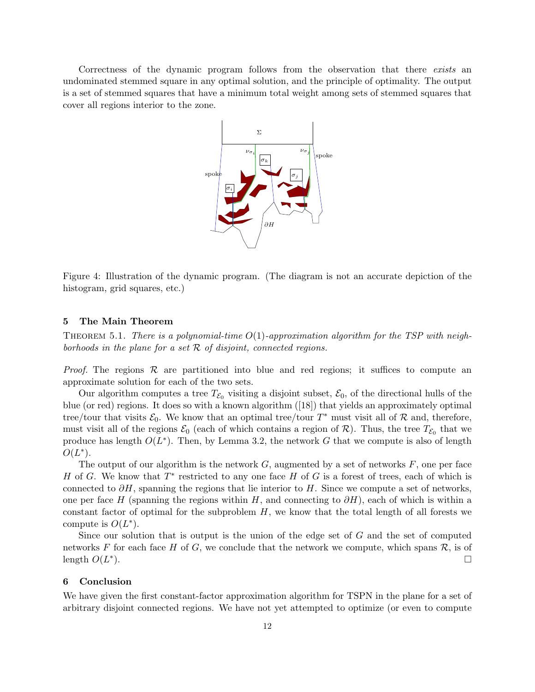Correctness of the dynamic program follows from the observation that there exists an undominated stemmed square in any optimal solution, and the principle of optimality. The output is a set of stemmed squares that have a minimum total weight among sets of stemmed squares that cover all regions interior to the zone.



Figure 4: Illustration of the dynamic program. (The diagram is not an accurate depiction of the histogram, grid squares, etc.)

### 5 The Main Theorem

THEOREM 5.1. There is a polynomial-time  $O(1)$ -approximation algorithm for the TSP with neighborhoods in the plane for a set  $R$  of disjoint, connected regions.

*Proof.* The regions  $\mathcal R$  are partitioned into blue and red regions; it suffices to compute an approximate solution for each of the two sets.

Our algorithm computes a tree  $T_{\mathcal{E}_0}$  visiting a disjoint subset,  $\mathcal{E}_0$ , of the directional hulls of the blue (or red) regions. It does so with a known algorithm ([18]) that yields an approximately optimal tree/tour that visits  $\mathcal{E}_0$ . We know that an optimal tree/tour  $T^*$  must visit all of  $\mathcal R$  and, therefore, must visit all of the regions  $\mathcal{E}_0$  (each of which contains a region of  $\mathcal{R}$ ). Thus, the tree  $T_{\mathcal{E}_0}$  that we produce has length  $O(L^*)$ . Then, by Lemma 3.2, the network G that we compute is also of length  $O(L^*)$ .

The output of our algorithm is the network  $G$ , augmented by a set of networks  $F$ , one per face H of G. We know that  $T^*$  restricted to any one face H of G is a forest of trees, each of which is connected to  $\partial H$ , spanning the regions that lie interior to H. Since we compute a set of networks, one per face H (spanning the regions within H, and connecting to  $\partial H$ ), each of which is within a constant factor of optimal for the subproblem  $H$ , we know that the total length of all forests we compute is  $O(L^*)$ .

Since our solution that is output is the union of the edge set of G and the set of computed networks F for each face H of G, we conclude that the network we compute, which spans  $\mathcal{R}$ , is of length  $O(L^*)$ . length  $O(L^*)$  $\Box$ 

### 6 Conclusion

We have given the first constant-factor approximation algorithm for TSPN in the plane for a set of arbitrary disjoint connected regions. We have not yet attempted to optimize (or even to compute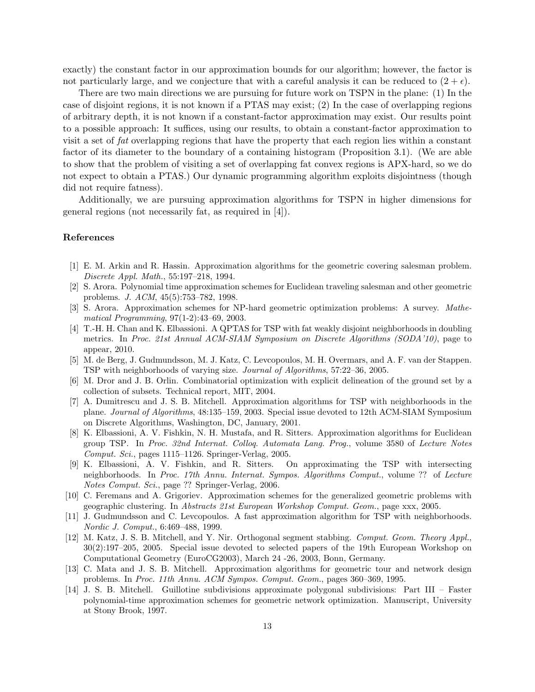exactly) the constant factor in our approximation bounds for our algorithm; however, the factor is not particularly large, and we conjecture that with a careful analysis it can be reduced to  $(2 + \epsilon)$ .

There are two main directions we are pursuing for future work on TSPN in the plane: (1) In the case of disjoint regions, it is not known if a PTAS may exist; (2) In the case of overlapping regions of arbitrary depth, it is not known if a constant-factor approximation may exist. Our results point to a possible approach: It suffices, using our results, to obtain a constant-factor approximation to visit a set of fat overlapping regions that have the property that each region lies within a constant factor of its diameter to the boundary of a containing histogram (Proposition 3.1). (We are able to show that the problem of visiting a set of overlapping fat convex regions is APX-hard, so we do not expect to obtain a PTAS.) Our dynamic programming algorithm exploits disjointness (though did not require fatness).

Additionally, we are pursuing approximation algorithms for TSPN in higher dimensions for general regions (not necessarily fat, as required in [4]).

### References

- [1] E. M. Arkin and R. Hassin. Approximation algorithms for the geometric covering salesman problem. Discrete Appl. Math., 55:197–218, 1994.
- [2] S. Arora. Polynomial time approximation schemes for Euclidean traveling salesman and other geometric problems. J. ACM, 45(5):753–782, 1998.
- [3] S. Arora. Approximation schemes for NP-hard geometric optimization problems: A survey. Mathematical Programming, 97(1-2):43–69, 2003.
- [4] T.-H. H. Chan and K. Elbassioni. A QPTAS for TSP with fat weakly disjoint neighborhoods in doubling metrics. In Proc. 21st Annual ACM-SIAM Symposium on Discrete Algorithms (SODA'10), page to appear, 2010.
- [5] M. de Berg, J. Gudmundsson, M. J. Katz, C. Levcopoulos, M. H. Overmars, and A. F. van der Stappen. TSP with neighborhoods of varying size. Journal of Algorithms, 57:22–36, 2005.
- [6] M. Dror and J. B. Orlin. Combinatorial optimization with explicit delineation of the ground set by a collection of subsets. Technical report, MIT, 2004.
- [7] A. Dumitrescu and J. S. B. Mitchell. Approximation algorithms for TSP with neighborhoods in the plane. Journal of Algorithms, 48:135–159, 2003. Special issue devoted to 12th ACM-SIAM Symposium on Discrete Algorithms, Washington, DC, January, 2001.
- [8] K. Elbassioni, A. V. Fishkin, N. H. Mustafa, and R. Sitters. Approximation algorithms for Euclidean group TSP. In Proc. 32nd Internat. Colloq. Automata Lang. Prog., volume 3580 of Lecture Notes Comput. Sci., pages 1115–1126. Springer-Verlag, 2005.
- [9] K. Elbassioni, A. V. Fishkin, and R. Sitters. On approximating the TSP with intersecting neighborhoods. In Proc. 17th Annu. Internat. Sympos. Algorithms Comput., volume ?? of Lecture Notes Comput. Sci., page ?? Springer-Verlag, 2006.
- [10] C. Feremans and A. Grigoriev. Approximation schemes for the generalized geometric problems with geographic clustering. In Abstracts 21st European Workshop Comput. Geom., page xxx, 2005.
- [11] J. Gudmundsson and C. Levcopoulos. A fast approximation algorithm for TSP with neighborhoods. Nordic J. Comput., 6:469–488, 1999.
- [12] M. Katz, J. S. B. Mitchell, and Y. Nir. Orthogonal segment stabbing. Comput. Geom. Theory Appl., 30(2):197–205, 2005. Special issue devoted to selected papers of the 19th European Workshop on Computational Geometry (EuroCG2003), March 24 -26, 2003, Bonn, Germany.
- [13] C. Mata and J. S. B. Mitchell. Approximation algorithms for geometric tour and network design problems. In Proc. 11th Annu. ACM Sympos. Comput. Geom., pages 360–369, 1995.
- [14] J. S. B. Mitchell. Guillotine subdivisions approximate polygonal subdivisions: Part III Faster polynomial-time approximation schemes for geometric network optimization. Manuscript, University at Stony Brook, 1997.